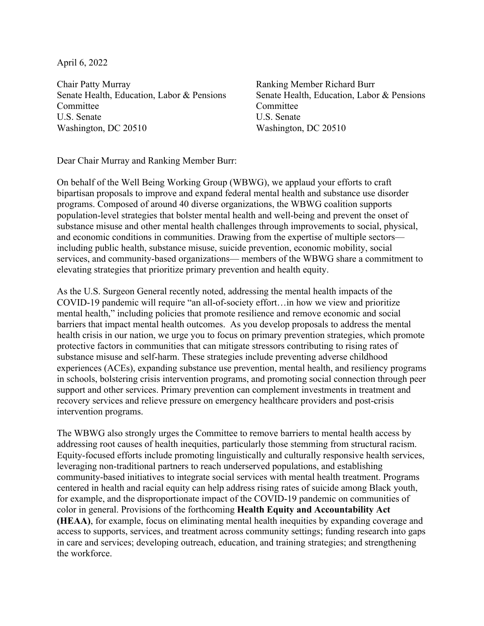April 6, 2022

Chair Patty Murray Senate Health, Education, Labor & Pensions Committee U.S. Senate Washington, DC 20510

Ranking Member Richard Burr Senate Health, Education, Labor & Pensions Committee U.S. Senate Washington, DC 20510

Dear Chair Murray and Ranking Member Burr:

On behalf of the Well Being Working Group (WBWG), we applaud your efforts to craft bipartisan proposals to improve and expand federal mental health and substance use disorder programs. Composed of around 40 diverse organizations, the WBWG coalition supports population-level strategies that bolster mental health and well-being and prevent the onset of substance misuse and other mental health challenges through improvements to social, physical, and economic conditions in communities. Drawing from the expertise of multiple sectors including public health, substance misuse, suicide prevention, economic mobility, social services, and community-based organizations— members of the WBWG share a commitment to elevating strategies that prioritize primary prevention and health equity.

As the U.S. Surgeon General recently noted, addressing the mental health impacts of the COVID-19 pandemic will require "an all-of-society effort…in how we view and prioritize mental health," including policies that promote resilience and remove economic and social barriers that impact mental health outcomes. As you develop proposals to address the mental health crisis in our nation, we urge you to focus on primary prevention strategies, which promote protective factors in communities that can mitigate stressors contributing to rising rates of substance misuse and self-harm. These strategies include preventing adverse childhood experiences (ACEs), expanding substance use prevention, mental health, and resiliency programs in schools, bolstering crisis intervention programs, and promoting social connection through peer support and other services. Primary prevention can complement investments in treatment and recovery services and relieve pressure on emergency healthcare providers and post-crisis intervention programs.

The WBWG also strongly urges the Committee to remove barriers to mental health access by addressing root causes of health inequities, particularly those stemming from structural racism. Equity-focused efforts include promoting linguistically and culturally responsive health services, leveraging non-traditional partners to reach underserved populations, and establishing community-based initiatives to integrate social services with mental health treatment. Programs centered in health and racial equity can help address rising rates of suicide among Black youth, for example, and the disproportionate impact of the COVID-19 pandemic on communities of color in general. Provisions of the forthcoming **Health Equity and Accountability Act (HEAA)**, for example, focus on eliminating mental health inequities by expanding coverage and access to supports, services, and treatment across community settings; funding research into gaps in care and services; developing outreach, education, and training strategies; and strengthening the workforce.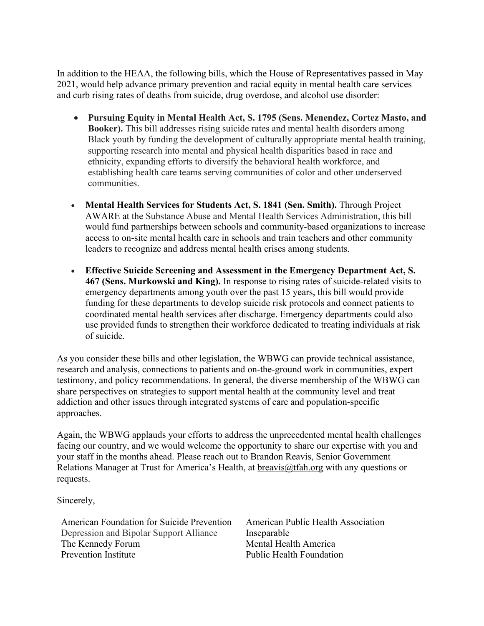In addition to the HEAA, the following bills, which the House of Representatives passed in May 2021, would help advance primary prevention and racial equity in mental health care services and curb rising rates of deaths from suicide, drug overdose, and alcohol use disorder:

- **Pursuing Equity in Mental Health Act, S. 1795 (Sens. Menendez, Cortez Masto, and Booker).** This bill addresses rising suicide rates and mental health disorders among Black youth by funding the development of culturally appropriate mental health training, supporting research into mental and physical health disparities based in race and ethnicity, expanding efforts to diversify the behavioral health workforce, and establishing health care teams serving communities of color and other underserved communities.
- **Mental Health Services for Students Act, S. 1841 (Sen. Smith).** Through Project AWARE at the Substance Abuse and Mental Health Services Administration, this bill would fund partnerships between schools and community-based organizations to increase access to on-site mental health care in schools and train teachers and other community leaders to recognize and address mental health crises among students.
- **Effective Suicide Screening and Assessment in the Emergency Department Act, S. 467 (Sens. Murkowski and King).** In response to rising rates of suicide-related visits to emergency departments among youth over the past 15 years, this bill would provide funding for these departments to develop suicide risk protocols and connect patients to coordinated mental health services after discharge. Emergency departments could also use provided funds to strengthen their workforce dedicated to treating individuals at risk of suicide.

As you consider these bills and other legislation, the WBWG can provide technical assistance, research and analysis, connections to patients and on-the-ground work in communities, expert testimony, and policy recommendations. In general, the diverse membership of the WBWG can share perspectives on strategies to support mental health at the community level and treat addiction and other issues through integrated systems of care and population-specific approaches.

Again, the WBWG applauds your efforts to address the unprecedented mental health challenges facing our country, and we would welcome the opportunity to share our expertise with you and your staff in the months ahead. Please reach out to Brandon Reavis, Senior Government Relations Manager at Trust for America's Health, at breavis@tfah.org with any questions or requests.

Sincerely,

American Foundation for Suicide Prevention Depression and Bipolar Support Alliance The Kennedy Forum Prevention Institute

American Public Health Association Inseparable Mental Health America Public Health Foundation